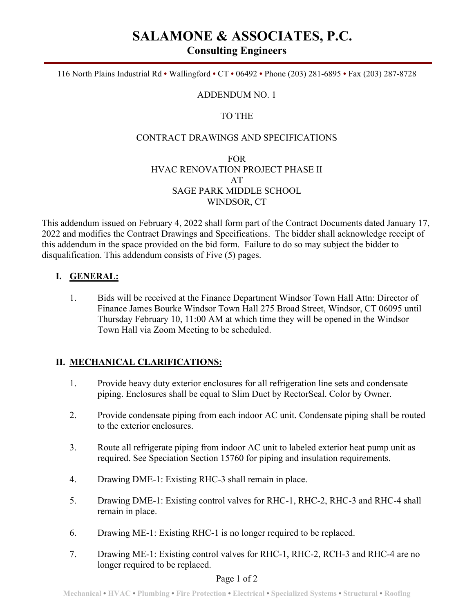# **SALAMONE & ASSOCIATES, P.C.**

**Consulting Engineers** 

116 North Plains Industrial Rd **•** Wallingford **•** CT **•** 06492 **•** Phone (203) 281-6895 **•** Fax (203) 287-8728

#### ADDENDUM NO. 1

## TO THE

#### CONTRACT DRAWINGS AND SPECIFICATIONS

### FOR HVAC RENOVATION PROJECT PHASE II AT SAGE PARK MIDDLE SCHOOL WINDSOR, CT

This addendum issued on February 4, 2022 shall form part of the Contract Documents dated January 17, 2022 and modifies the Contract Drawings and Specifications. The bidder shall acknowledge receipt of this addendum in the space provided on the bid form. Failure to do so may subject the bidder to disqualification. This addendum consists of Five (5) pages.

## **I. GENERAL:**

1. Bids will be received at the Finance Department Windsor Town Hall Attn: Director of Finance James Bourke Windsor Town Hall 275 Broad Street, Windsor, CT 06095 until Thursday February 10, 11:00 AM at which time they will be opened in the Windsor Town Hall via Zoom Meeting to be scheduled.

#### **II. MECHANICAL CLARIFICATIONS:**

- 1. Provide heavy duty exterior enclosures for all refrigeration line sets and condensate piping. Enclosures shall be equal to Slim Duct by RectorSeal. Color by Owner.
- 2. Provide condensate piping from each indoor AC unit. Condensate piping shall be routed to the exterior enclosures.
- 3. Route all refrigerate piping from indoor AC unit to labeled exterior heat pump unit as required. See Speciation Section 15760 for piping and insulation requirements.
- 4. Drawing DME-1: Existing RHC-3 shall remain in place.
- 5. Drawing DME-1: Existing control valves for RHC-1, RHC-2, RHC-3 and RHC-4 shall remain in place.
- 6. Drawing ME-1: Existing RHC-1 is no longer required to be replaced.
- 7. Drawing ME-1: Existing control valves for RHC-1, RHC-2, RCH-3 and RHC-4 are no longer required to be replaced.

#### Page 1 of 2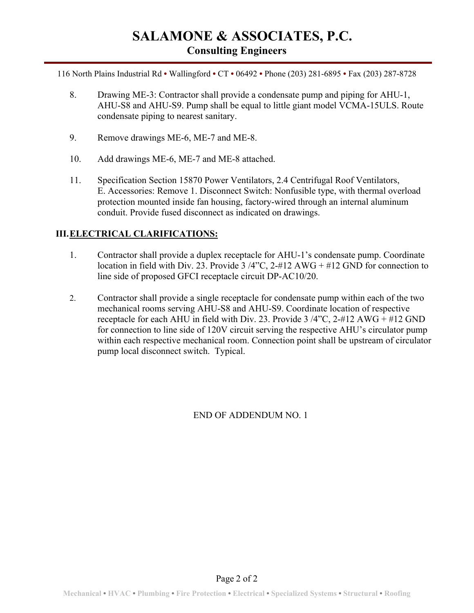# **SALAMONE & ASSOCIATES, P.C. Consulting Engineers**

116 North Plains Industrial Rd **•** Wallingford **•** CT **•** 06492 **•** Phone (203) 281-6895 **•** Fax (203) 287-8728

- 8. Drawing ME-3: Contractor shall provide a condensate pump and piping for AHU-1, AHU-S8 and AHU-S9. Pump shall be equal to little giant model VCMA-15ULS. Route condensate piping to nearest sanitary.
- 9. Remove drawings ME-6, ME-7 and ME-8.
- 10. Add drawings ME-6, ME-7 and ME-8 attached.
- 11. Specification Section 15870 Power Ventilators, 2.4 Centrifugal Roof Ventilators, E. Accessories: Remove 1. Disconnect Switch: Nonfusible type, with thermal overload protection mounted inside fan housing, factory-wired through an internal aluminum conduit. Provide fused disconnect as indicated on drawings.

# **III.ELECTRICAL CLARIFICATIONS:**

- 1. Contractor shall provide a duplex receptacle for AHU-1's condensate pump. Coordinate location in field with Div. 23. Provide 3 /4"C, 2-#12 AWG + #12 GND for connection to line side of proposed GFCI receptacle circuit DP-AC10/20.
- 2. Contractor shall provide a single receptacle for condensate pump within each of the two mechanical rooms serving AHU-S8 and AHU-S9. Coordinate location of respective receptacle for each AHU in field with Div. 23. Provide 3 /4"C, 2-#12 AWG + #12 GND for connection to line side of 120V circuit serving the respective AHU's circulator pump within each respective mechanical room. Connection point shall be upstream of circulator pump local disconnect switch. Typical.

# END OF ADDENDUM NO. 1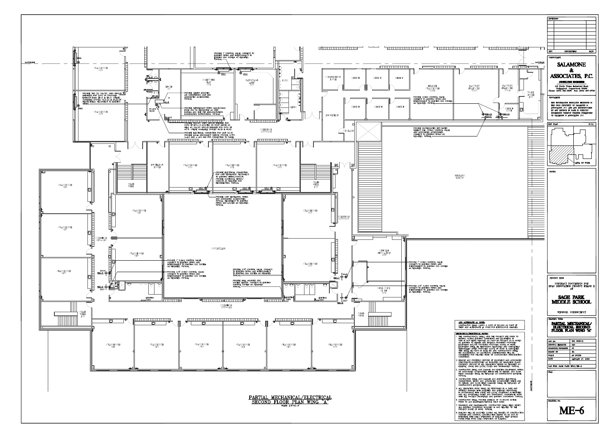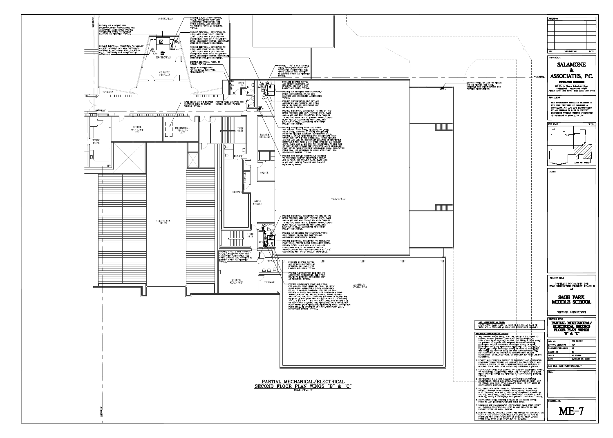